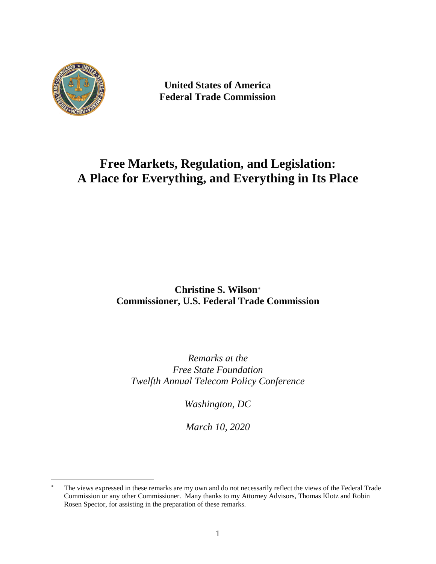

 $\overline{a}$ 

**United States of America Federal Trade Commission**

# **Free Markets, Regulation, and Legislation: A Place for Everything, and Everything in Its Place**

## **Christine S. Wilson**[∗](#page-0-0) **Commissioner, U.S. Federal Trade Commission**

*Remarks at the Free State Foundation Twelfth Annual Telecom Policy Conference*

*Washington, DC*

*March 10, 2020*

<span id="page-0-0"></span><sup>∗</sup> The views expressed in these remarks are my own and do not necessarily reflect the views of the Federal Trade Commission or any other Commissioner. Many thanks to my Attorney Advisors, Thomas Klotz and Robin Rosen Spector, for assisting in the preparation of these remarks.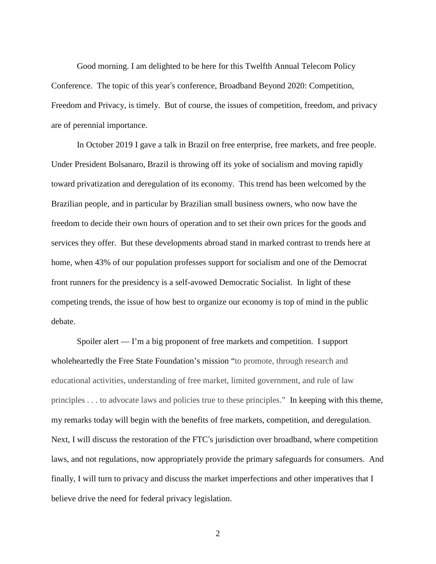Good morning. I am delighted to be here for this Twelfth Annual Telecom Policy Conference. The topic of this year's conference, Broadband Beyond 2020: Competition, Freedom and Privacy, is timely. But of course, the issues of competition, freedom, and privacy are of perennial importance.

In October 2019 I gave a talk in Brazil on free enterprise, free markets, and free people. Under President Bolsanaro, Brazil is throwing off its yoke of socialism and moving rapidly toward privatization and deregulation of its economy. This trend has been welcomed by the Brazilian people, and in particular by Brazilian small business owners, who now have the freedom to decide their own hours of operation and to set their own prices for the goods and services they offer. But these developments abroad stand in marked contrast to trends here at home, when 43% of our population professes support for socialism and one of the Democrat front runners for the presidency is a self-avowed Democratic Socialist. In light of these competing trends, the issue of how best to organize our economy is top of mind in the public debate.

Spoiler alert — I'm a big proponent of free markets and competition. I support wholeheartedly the Free State Foundation's mission "to promote, through research and educational activities, understanding of free market, limited government, and rule of law principles . . . to advocate laws and policies true to these principles." In keeping with this theme, my remarks today will begin with the benefits of free markets, competition, and deregulation. Next, I will discuss the restoration of the FTC's jurisdiction over broadband, where competition laws, and not regulations, now appropriately provide the primary safeguards for consumers. And finally, I will turn to privacy and discuss the market imperfections and other imperatives that I believe drive the need for federal privacy legislation.

2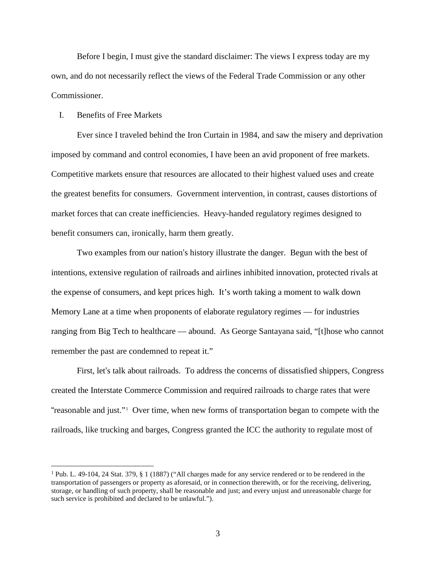Before I begin, I must give the standard disclaimer: The views I express today are my own, and do not necessarily reflect the views of the Federal Trade Commission or any other Commissioner.

#### I. Benefits of Free Markets

Ever since I traveled behind the Iron Curtain in 1984, and saw the misery and deprivation imposed by command and control economies, I have been an avid proponent of free markets. Competitive markets ensure that resources are allocated to their highest valued uses and create the greatest benefits for consumers. Government intervention, in contrast, causes distortions of market forces that can create inefficiencies. Heavy-handed regulatory regimes designed to benefit consumers can, ironically, harm them greatly.

Two examples from our nation's history illustrate the danger. Begun with the best of intentions, extensive regulation of railroads and airlines inhibited innovation, protected rivals at the expense of consumers, and kept prices high. It's worth taking a moment to walk down Memory Lane at a time when proponents of elaborate regulatory regimes — for industries ranging from Big Tech to healthcare — abound. As George Santayana said, "[t]hose who cannot remember the past are condemned to repeat it."

First, let's talk about railroads. To address the concerns of dissatisfied shippers, Congress created the Interstate Commerce Commission and required railroads to charge rates that were "reasonable and just."<sup>1</sup> Over time, when new forms of transportation began to compete with the railroads, like trucking and barges, Congress granted the ICC the authority to regulate most of

 <sup>1</sup> Pub. L. 49-104, <sup>24</sup> Stat. 379, § <sup>1</sup> (1887) ("All charges made for any service rendered or to be rendered in the transportation of passengers or property as aforesaid, or in connection therewith, or for the receiving, delivering, storage, or handling of such property, shall be reasonable and just; and every unjust and unreasonable charge for such service is prohibited and declared to be unlawful.").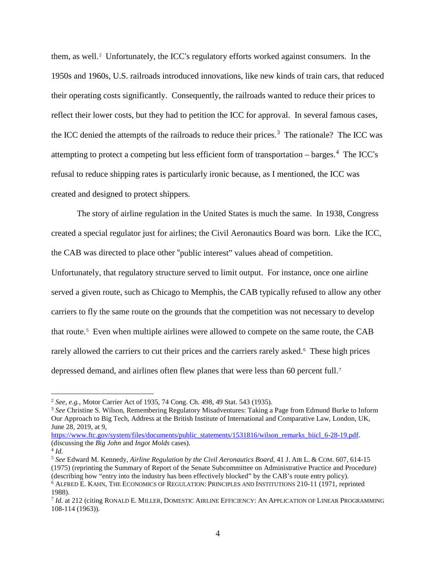them, as well.<sup>[2](#page-3-0)</sup> Unfortunately, the ICC's regulatory efforts worked against consumers. In the 1950s and 1960s, U.S. railroads introduced innovations, like new kinds of train cars, that reduced their operating costs significantly. Consequently, the railroads wanted to reduce their prices to reflect their lower costs, but they had to petition the ICC for approval. In several famous cases, the ICC denied the attempts of the railroads to reduce their prices.<sup>[3](#page-3-1)</sup> The rationale? The ICC was attempting to protect a competing but less efficient form of transportation – barges.<sup>[4](#page-3-2)</sup> The ICC's refusal to reduce shipping rates is particularly ironic because, as I mentioned, the ICC was created and designed to protect shippers.

The story of airline regulation in the United States is much the same. In 1938, Congress created a special regulator just for airlines; the Civil Aeronautics Board was born. Like the ICC, the CAB was directed to place other "public interest" values ahead of competition.

Unfortunately, that regulatory structure served to limit output. For instance, once one airline served a given route, such as Chicago to Memphis, the CAB typically refused to allow any other carriers to fly the same route on the grounds that the competition was not necessary to develop that route.<sup>5</sup> Even when multiple airlines were allowed to compete on the same route, the CAB rarely allowed the carriers to cut their prices and the carriers rarely asked.<sup>6</sup> These high prices depressed demand, and airlines often flew planes that were less than 60 percent full.<sup>7</sup>

<span id="page-3-0"></span> <sup>2</sup> *See, e.g.*, Motor Carrier Act of 1935, <sup>74</sup> Cong. Ch. 498, <sup>49</sup> Stat. <sup>543</sup> (1935).

<span id="page-3-1"></span><sup>3</sup> *See* Christine S. Wilson, Remembering Regulatory Misadventures: Taking a Page from Edmund Burke to Inform Our Approach to Big Tech, Address at the British Institute of International and Comparative Law, London, UK, June 28, 2019, at 9,

[https://www.ftc.gov/system/files/documents/public\\_statements/1531816/wilson\\_remarks\\_biicl\\_6-28-19.pdf.](https://www.ftc.gov/system/files/documents/public_statements/1531816/wilson_remarks_biicl_6-28-19.pdf) (discussing the *Big John* and *Ingot Molds* cases).

<span id="page-3-2"></span><sup>4</sup> *Id.*

<sup>5</sup> *See* Edward M. Kennedy, *Airline Regulation by the Civil Aeronautics Board*, 41 J. AIR L. & COM. 607, 614-15 (1975) (reprinting the Summary of Report of the Senate Subcommittee on Administrative Practice and Procedure) (describing how "entry into the industry has been effectively blocked" by the CAB's route entry policy).

<sup>6</sup> ALFRED E. KAHN, THE ECONOMICS OF REGULATION: PRINCIPLES AND INSTITUTIONS 210-11 (1971, reprinted 1988).

<sup>7</sup> *Id.* at 212 (citing RONALD E. MILLER, DOMESTIC AIRLINE EFFICIENCY: AN APPLICATION OF LINEAR PROGRAMMING 108-114 (1963)).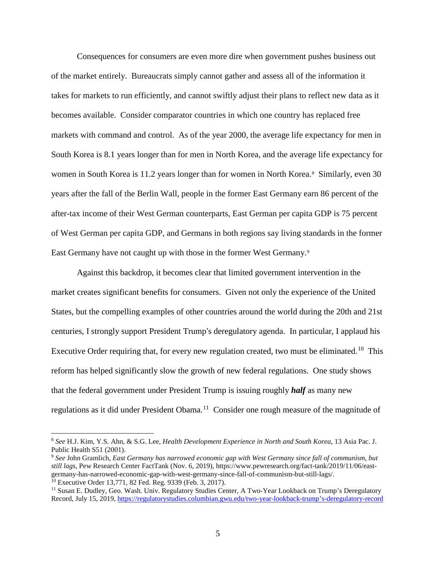Consequences for consumers are even more dire when government pushes business out of the market entirely. Bureaucrats simply cannot gather and assess all of the information it takes for markets to run efficiently, and cannot swiftly adjust their plans to reflect new data as it becomes available. Consider comparator countries in which one country has replaced free markets with command and control. As of the year 2000, the average life expectancy for men in South Korea is 8.1 years longer than for men in North Korea, and the average life expectancy for women in South Korea is 11.2 years longer than for women in North Korea.<sup>[8](#page-4-0)</sup> Similarly, even 30 years after the fall of the Berlin Wall, people in the former East Germany earn 86 percent of the after-tax income of their West German counterparts, East German per capita GDP is 75 percent of West German per capita GDP, and Germans in both regions say living standards in the former East Germany have not caught up with those in the former West Germany.<sup>[9](#page-4-1)</sup>

Against this backdrop, it becomes clear that limited government intervention in the market creates significant benefits for consumers. Given not only the experience of the United States, but the compelling examples of other countries around the world during the 20th and 21st centuries, I strongly support President Trump's deregulatory agenda. In particular, I applaud his Executive Order requiring that, for every new regulation created, two must be eliminated.<sup>10</sup> This reform has helped significantly slow the growth of new federal regulations. One study shows that the federal government under President Trump is issuing roughly *half* as many new regulations as it did under President Obama.<sup>11</sup> Consider one rough measure of the magnitude of

<span id="page-4-0"></span> <sup>8</sup> *See* H.J. Kim, Y.S. Ahn, & S.G. Lee, *Health Development Experience in North and South Korea*, <sup>13</sup> Asia Pac. J. Public Health S51 (2001).

<span id="page-4-1"></span><sup>9</sup> *See* John Gramlich, *East Germany has narrowed economic gap with West Germany since fall of communism, but still lags*, Pew Research Center FactTank (Nov. 6, 2019), https://www.pewresearch.org/fact-tank/2019/11/06/eastgermany-has-narrowed-economic-gap-with-west-germany-since-fall-of-communism-but-still-lags/. <sup>10</sup> Executive Order 13,771, 82 Fed. Reg. 9339 (Feb. 3, 2017).

<span id="page-4-3"></span><span id="page-4-2"></span><sup>11</sup> Susan E. Dudley, Geo. Wash. Univ. Regulatory Studies Center, A Two-Year Lookback on Trump's Deregulatory Record, July 15, 2019, https://regulatorystudies.columbian.gwu.edu/two-year-lookback-trump's-deregulatory-record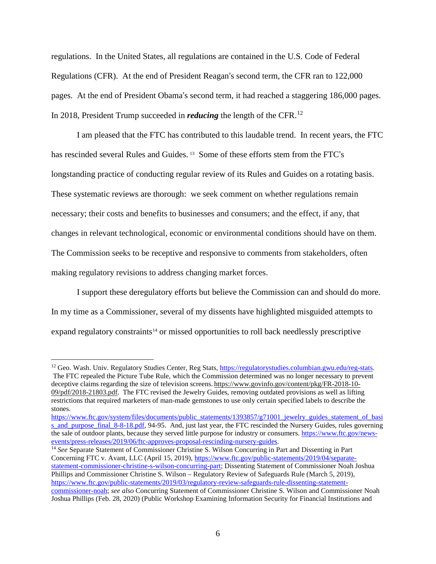regulations. In the United States, all regulations are contained in the U.S. Code of Federal Regulations (CFR). At the end of President Reagan's second term, the CFR ran to 122,000 pages. At the end of President Obama's second term, it had reached a staggering 186,000 pages. In 2018, President Trump succeeded in *reducing* the length of the CFR.[12](#page-5-0)

I am pleased that the FTC has contributed to this laudable trend. In recent years, the FTC has rescinded several Rules and Guides.<sup>[13](#page-5-1)</sup> Some of these efforts stem from the FTC's longstanding practice of conducting regular review of its Rules and Guides on a rotating basis. These systematic reviews are thorough: we seek comment on whether regulations remain necessary; their costs and benefits to businesses and consumers; and the effect, if any, that changes in relevant technological, economic or environmental conditions should have on them. The Commission seeks to be receptive and responsive to comments from stakeholders, often making regulatory revisions to address changing market forces.

I support these deregulatory efforts but believe the Commission can and should do more. In my time as a Commissioner, several of my dissents have highlighted misguided attempts to expand regulatory constraints<sup>[14](#page-5-2)</sup> or missed opportunities to roll back needlessly prescriptive

<span id="page-5-2"></span><sup>14</sup> *See* Separate Statement of Commissioner Christine S. Wilson Concurring in Part and Dissenting in Part Concerning FTC v. Avant, LLC (April 15, 2019), [https://www.ftc.gov/public-statements/2019/04/separate](https://www.ftc.gov/public-statements/2019/04/separate-statement-commissioner-christine-s-wilson-concurring-part)[statement-commissioner-christine-s-wilson-concurring-part;](https://www.ftc.gov/public-statements/2019/04/separate-statement-commissioner-christine-s-wilson-concurring-part) Dissenting Statement of Commissioner Noah Joshua Phillips and Commissioner Christine S. Wilson – Regulatory Review of Safeguards Rule (March 5, 2019), [https://www.ftc.gov/public-statements/2019/03/regulatory-review-safeguards-rule-dissenting-statement](https://www.ftc.gov/public-statements/2019/03/regulatory-review-safeguards-rule-dissenting-statement-commissioner-noah)[commissioner-noah;](https://www.ftc.gov/public-statements/2019/03/regulatory-review-safeguards-rule-dissenting-statement-commissioner-noah) *see also* Concurring Statement of Commissioner Christine S. Wilson and Commissioner Noah Joshua Phillips (Feb. 28, 2020) (Public Workshop Examining Information Security for Financial Institutions and

<span id="page-5-1"></span><span id="page-5-0"></span><sup>&</sup>lt;sup>12</sup> Geo. Wash. Univ. Regulatory Studies Center, Reg Stats, [https://regulatorystudies.columbian.gwu.edu/reg-stats.](https://regulatorystudies.columbian.gwu.edu/reg-stats) The FTC repealed the Picture Tube Rule, which the Commission determined was no longer necessary to prevent deceptive claims regarding the size of television screens. [https://www.govinfo.gov/content/pkg/FR-2018-10-](https://www.govinfo.gov/content/pkg/FR-2018-10-09/pdf/2018-21803.pdf) [09/pdf/2018-21803.pdf.](https://www.govinfo.gov/content/pkg/FR-2018-10-09/pdf/2018-21803.pdf) The FTC revised the Jewelry Guides, removing outdated provisions as well as lifting restrictions that required marketers of man-made gemstones to use only certain specified labels to describe the stones.

[https://www.ftc.gov/system/files/documents/public\\_statements/1393857/g71001\\_jewelry\\_guides\\_statement\\_of\\_basi](https://www.ftc.gov/system/files/documents/public_statements/1393857/g71001_jewelry_guides_statement_of_basis_and_purpose_final_8-8-18.pdf) [s\\_and\\_purpose\\_final\\_8-8-18.pdf,](https://www.ftc.gov/system/files/documents/public_statements/1393857/g71001_jewelry_guides_statement_of_basis_and_purpose_final_8-8-18.pdf) 94-95. And, just last year, the FTC rescinded the Nursery Guides, rules governing the sale of outdoor plants, because they served little purpose for industry or consumers. [https://www.ftc.gov/news](https://www.ftc.gov/news-events/press-releases/2019/06/ftc-approves-proposal-rescinding-nursery-guides)[events/press-releases/2019/06/ftc-approves-proposal-rescinding-nursery-guides.](https://www.ftc.gov/news-events/press-releases/2019/06/ftc-approves-proposal-rescinding-nursery-guides)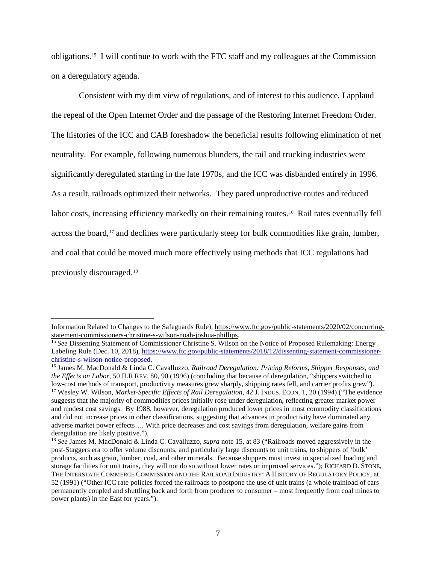obligations.[15](#page-6-0) I will continue to work with the FTC staff and my colleagues at the Commission on a deregulatory agenda.

Consistent with my dim view of regulations, and of interest to this audience, I applaud the repeal of the Open Internet Order and the passage of the Restoring Internet Freedom Order. The histories of the ICC and CAB foreshadow the beneficial results following elimination of net neutrality. For example, following numerous blunders, the rail and trucking industries were significantly deregulated starting in the late 1970s, and the ICC was disbanded entirely in 1996. As a result, railroads optimized their networks. They pared unproductive routes and reduced labor costs, increasing efficiency markedly on their remaining routes.<sup>[16](#page-6-1)</sup> Rail rates eventually fell across the board,<sup>[17](#page-6-2)</sup> and declines were particularly steep for bulk commodities like grain, lumber, and coal that could be moved much more effectively using methods that ICC regulations had previously discouraged.[18](#page-6-3)

 $\overline{a}$ 

Information Related to Changes to the Safeguards Rule), [https://www.ftc.gov/public-statements/2020/02/concurring](https://www.ftc.gov/public-statements/2020/02/concurring-statement-commissioners-christine-s-wilson-noah-joshua-phillips)[statement-commissioners-christine-s-wilson-noah-joshua-phillips.](https://www.ftc.gov/public-statements/2020/02/concurring-statement-commissioners-christine-s-wilson-noah-joshua-phillips)

<span id="page-6-0"></span><sup>15</sup> *See* Dissenting Statement of Commissioner Christine S. Wilson on the Notice of Proposed Rulemaking: Energy Labeling Rule (Dec. 10, 2018), [https://www.ftc.gov/public-statements/2018/12/dissenting-statement-commissioner](https://www.ftc.gov/public-statements/2018/12/dissenting-statement-commissioner-christine-s-wilson-notice-proposed)[christine-s-wilson-notice-proposed.](https://www.ftc.gov/public-statements/2018/12/dissenting-statement-commissioner-christine-s-wilson-notice-proposed)

<span id="page-6-2"></span><span id="page-6-1"></span><sup>16</sup> James M. MacDonald & Linda C. Cavalluzzo, *Railroad Deregulation: Pricing Reforms, Shipper Responses, and the Effects on Labor*, 50 ILR REV. 80, 90 (1996) (concluding that because of deregulation, "shippers switched to low-cost methods of transport, productivity measures grew sharply, shipping rates fell, and carrier profits grew"). <sup>17</sup> Wesley W. Wilson, *Market-Specific Effects of Rail Deregulation*, 42 J. INDUS. ECON. 1, 20 (1994) ("The evidence suggests that the majority of commodities prices initially rose under deregulation, reflecting greater market power and modest cost savings. By 1988, however, deregulation produced lower prices in most commodity classifications and did not increase prices in other classifications, suggesting that advances in productivity have dominated any adverse market power effects…. With price decreases and cost savings from deregulation, welfare gains from deregulation are likely positive.").

<span id="page-6-3"></span><sup>18</sup> *See* James M. MacDonald & Linda C. Cavalluzzo, *supra* note 15, at 83 ("Railroads moved aggressively in the post-Staggers era to offer volume discounts, and particularly large discounts to unit trains, to shippers of 'bulk' products, such as grain, lumber, coal, and other minerals. Because shippers must invest in specialized loading and storage facilities for unit trains, they will not do so without lower rates or improved services."); RICHARD D. STONE, THE INTERSTATE COMMERCE COMMISSION AND THE RAILROAD INDUSTRY: A HISTORY OF REGULATORY POLICY, at 52 (1991) ("Other ICC rate policies forced the railroads to postpone the use of unit trains (a whole trainload of cars permanently coupled and shuttling back and forth from producer to consumer – most frequently from coal mines to power plants) in the East for years.").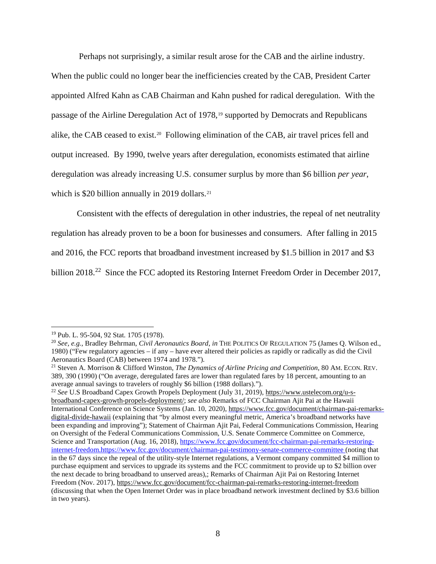Perhaps not surprisingly, a similar result arose for the CAB and the airline industry.

When the public could no longer bear the inefficiencies created by the CAB, President Carter appointed Alfred Kahn as CAB Chairman and Kahn pushed for radical deregulation. With the passage of the Airline Deregulation Act of 1978,[19](#page-7-0) supported by Democrats and Republicans alike, the CAB ceased to exist.<sup>20</sup> Following elimination of the CAB, air travel prices fell and output increased. By 1990, twelve years after deregulation, economists estimated that airline deregulation was already increasing U.S. consumer surplus by more than \$6 billion *per year*, which is \$20 billion annually in 2019 dollars.<sup>[21](#page-7-2)</sup>

Consistent with the effects of deregulation in other industries, the repeal of net neutrality

regulation has already proven to be a boon for businesses and consumers. After falling in 2015

and 2016, the FCC reports that broadband investment increased by \$1.5 billion in 2017 and \$3

billion 2018.<sup>22</sup> Since the FCC adopted its Restoring Internet Freedom Order in December 2017,

<span id="page-7-0"></span> <sup>19</sup> Pub. L. 95-504, <sup>92</sup> Stat. <sup>1705</sup> (1978).

<span id="page-7-1"></span><sup>20</sup> *See, e.g.*, Bradley Behrman, *Civil Aeronautics Board*, *in* THE POLITICS OF REGULATION 75 (James Q. Wilson ed., 1980) ("Few regulatory agencies – if any – have ever altered their policies as rapidly or radically as did the Civil Aeronautics Board (CAB) between 1974 and 1978.").

<span id="page-7-2"></span><sup>21</sup> Steven A. Morrison & Clifford Winston, *The Dynamics of Airline Pricing and Competition*, 80 AM. ECON. REV. 389, 390 (1990) ("On average, deregulated fares are lower than regulated fares by 18 percent, amounting to an average annual savings to travelers of roughly \$6 billion (1988 dollars).").

<span id="page-7-3"></span><sup>22</sup> *See* U.S Broadband Capex Growth Propels Deployment (July 31, 2019), [https://www.ustelecom.org/u-s](https://www.ustelecom.org/u-s-broadband-capex-growth-propels-deployment/)[broadband-capex-growth-propels-deployment/;](https://www.ustelecom.org/u-s-broadband-capex-growth-propels-deployment/) *see also* Remarks of FCC Chairman Ajit Pai at the Hawaii International Conference on Science Systems (Jan. 10, 2020), [https://www.fcc.gov/document/chairman-pai-remarks](https://www.fcc.gov/document/chairman-pai-remarks-digital-divide-hawaii)[digital-divide-hawaii](https://www.fcc.gov/document/chairman-pai-remarks-digital-divide-hawaii) (explaining that "by almost every meaningful metric, America's broadband networks have been expanding and improving"); Statement of Chairman Ajit Pai, Federal Communications Commission, Hearing on Oversight of the Federal Communications Commission, U.S. Senate Commerce Committee on Commerce, Science and Transportation (Aug. 16, 2018), [https://www.fcc.gov/document/fcc-chairman-pai-remarks-restoring](https://www.fcc.gov/document/fcc-chairman-pai-remarks-restoring-internet-freedom)[internet-freedom](https://www.fcc.gov/document/fcc-chairman-pai-remarks-restoring-internet-freedom)[.https://www.fcc.gov/document/chairman-pai-testimony-senate-commerce-committee](https://www.fcc.gov/document/chairman-pai-testimony-senate-commerce-committee) (noting that in the 67 days since the repeal of the utility-style Internet regulations, a Vermont company committed \$4 million to purchase equipment and services to upgrade its systems and the FCC commitment to provide up to \$2 billion over the next decade to bring broadband to unserved areas),; Remarks of Chairman Ajit Pai on Restoring Internet Freedom (Nov. 2017), <https://www.fcc.gov/document/fcc-chairman-pai-remarks-restoring-internet-freedom> (discussing that when the Open Internet Order was in place broadband network investment declined by \$3.6 billion in two years).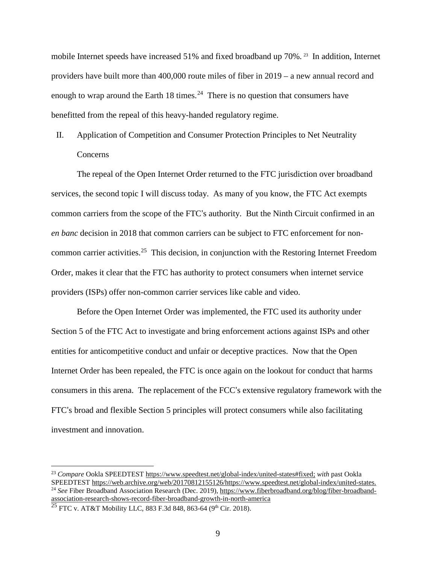mobile Internet speeds have increased 51% and fixed broadband up 70%. [23](#page-8-0) In addition, Internet providers have built more than 400,000 route miles of fiber in 2019 – a new annual record and enough to wrap around the Earth 18 times.<sup>[24](#page-8-1)</sup> There is no question that consumers have benefitted from the repeal of this heavy-handed regulatory regime.

II. Application of Competition and Consumer Protection Principles to Net Neutrality Concerns

The repeal of the Open Internet Order returned to the FTC jurisdiction over broadband services, the second topic I will discuss today. As many of you know, the FTC Act exempts common carriers from the scope of the FTC's authority. But the Ninth Circuit confirmed in an *en banc* decision in 2018 that common carriers can be subject to FTC enforcement for noncommon carrier activities.[25](#page-8-2) This decision, in conjunction with the Restoring Internet Freedom Order, makes it clear that the FTC has authority to protect consumers when internet service providers (ISPs) offer non-common carrier services like cable and video.

Before the Open Internet Order was implemented, the FTC used its authority under Section 5 of the FTC Act to investigate and bring enforcement actions against ISPs and other entities for anticompetitive conduct and unfair or deceptive practices. Now that the Open Internet Order has been repealed, the FTC is once again on the lookout for conduct that harms consumers in this arena. The replacement of the FCC's extensive regulatory framework with the FTC's broad and flexible Section 5 principles will protect consumers while also facilitating investment and innovation.

<span id="page-8-0"></span><sup>&</sup>lt;sup>23</sup> *Compare* Ookla SPEEDTEST [https://www.speedtest.net/global-index/united-states#fixed;](https://www.speedtest.net/global-index/united-states#fixed) *with* past Ookla<br>SPEEDTEST https://web.archive.org/web/20170812155126/https://www.speedtest.net/global-index/united-states. <sup>24</sup> See Fiber Broadband Association Research (Dec. 2019), [https://www.fiberbroadband.org/blog/fiber-broadband](https://www.fiberbroadband.org/blog/fiber-broadband-association-research-shows-record-fiber-broadband-growth-in-north-america)[association-research-shows-record-fiber-broadband-growth-in-north-america](https://www.fiberbroadband.org/blog/fiber-broadband-association-research-shows-record-fiber-broadband-growth-in-north-america)

<span id="page-8-2"></span><span id="page-8-1"></span><sup>&</sup>lt;sup>25</sup> FTC v. AT&T Mobility LLC, 883 F.3d 848, 863-64 (9<sup>th</sup> Cir. 2018).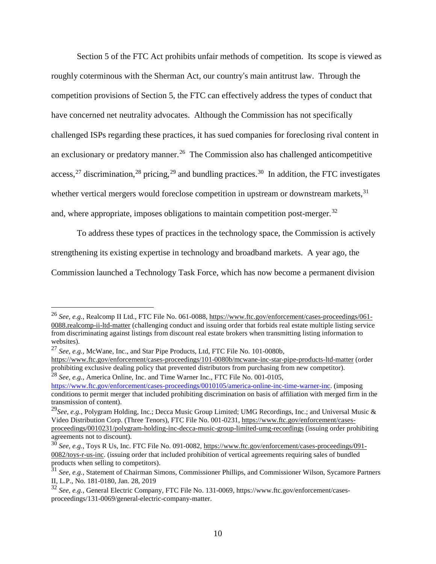Section 5 of the FTC Act prohibits unfair methods of competition. Its scope is viewed as roughly coterminous with the Sherman Act, our country's main antitrust law. Through the competition provisions of Section 5, the FTC can effectively address the types of conduct that have concerned net neutrality advocates. Although the Commission has not specifically challenged ISPs regarding these practices, it has sued companies for foreclosing rival content in an exclusionary or predatory manner.<sup>[26](#page-9-0)</sup> The Commission also has challenged anticompetitive access,<sup>[27](#page-9-1)</sup> discrimination,<sup>[28](#page-9-2)</sup> pricing,<sup>[29](#page-9-3)</sup> and bundling practices.<sup>[30](#page-9-4)</sup> In addition, the FTC investigates whether vertical mergers would foreclose competition in upstream or downstream markets,  $31$ and, where appropriate, imposes obligations to maintain competition post-merger.<sup>[32](#page-9-6)</sup>

To address these types of practices in the technology space, the Commission is actively strengthening its existing expertise in technology and broadband markets. A year ago, the

Commission launched a Technology Task Force, which has now become a permanent division

<span id="page-9-0"></span> <sup>26</sup> *See, e.g.*, Realcomp II Ltd., FTC File No. 061-0088, [https://www.ftc.gov/enforcement/cases-proceedings/061-](https://www.ftc.gov/enforcement/cases-proceedings/061-0088.realcomp-ii-ltd-matter) [0088.realcomp-ii-ltd-matter](https://www.ftc.gov/enforcement/cases-proceedings/061-0088.realcomp-ii-ltd-matter) (challenging conduct and issuing order that forbids real estate multiple listing service from discriminating against listings from discount real estate brokers when transmitting listing information to websites).

<span id="page-9-1"></span><sup>27</sup> *See, e.g.*, McWane, Inc., and Star Pipe Products, Ltd, FTC File No. 101-0080b,

<https://www.ftc.gov/enforcement/cases-proceedings/101-0080b/mcwane-inc-star-pipe-products-ltd-matter> (order prohibiting exclusive dealing policy that prevented distributors from purchasing from new competitor). <sup>28</sup> *See, e.g.*, America Online, Inc. and Time Warner Inc., FTC File No. 001-0105,

<span id="page-9-2"></span>[https://www.ftc.gov/enforcement/cases-proceedings/0010105/america-online-inc-time-warner-inc.](https://www.ftc.gov/enforcement/cases-proceedings/0010105/america-online-inc-time-warner-inc) (imposing conditions to permit merger that included prohibiting discrimination on basis of affiliation with merged firm in the transmission of content).

<span id="page-9-3"></span><sup>29</sup>*See, e.g.*, Polygram Holding, Inc.; Decca Music Group Limited; UMG Recordings, Inc.; and Universal Music & Video Distribution Corp. (Three Tenors), FTC File No. 001-0231, [https://www.ftc.gov/enforcement/cases](https://www.ftc.gov/enforcement/cases-proceedings/0010231/polygram-holding-inc-decca-music-group-limited-umg-recordings)[proceedings/0010231/polygram-holding-inc-decca-music-group-limited-umg-recordings](https://www.ftc.gov/enforcement/cases-proceedings/0010231/polygram-holding-inc-decca-music-group-limited-umg-recordings) (issuing order prohibiting agreements not to discount).

<span id="page-9-4"></span><sup>30</sup> *See, e.g.*, Toys R Us, Inc. FTC File No. 091-0082, [https://www.ftc.gov/enforcement/cases-proceedings/091-](https://www.ftc.gov/enforcement/cases-proceedings/091-0082/toys-r-us-inc) [0082/toys-r-us-inc.](https://www.ftc.gov/enforcement/cases-proceedings/091-0082/toys-r-us-inc) (issuing order that included prohibition of vertical agreements requiring sales of bundled products when selling to competitors).

<span id="page-9-5"></span><sup>31</sup> *See, e.g.*, Statement of Chairman Simons, Commissioner Phillips, and Commissioner Wilson, Sycamore Partners II, L.P., No. 181-0180, Jan. 28, 2019

<span id="page-9-6"></span><sup>32</sup> *See*, *e.g.*, General Electric Company, FTC File No. 131-0069, https://www.ftc.gov/enforcement/casesproceedings/131-0069/general-electric-company-matter.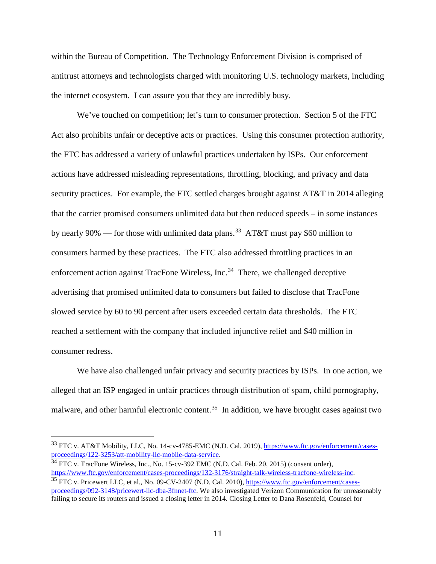within the Bureau of Competition. The Technology Enforcement Division is comprised of antitrust attorneys and technologists charged with monitoring U.S. technology markets, including the internet ecosystem. I can assure you that they are incredibly busy.

We've touched on competition; let's turn to consumer protection. Section 5 of the FTC Act also prohibits unfair or deceptive acts or practices. Using this consumer protection authority, the FTC has addressed a variety of unlawful practices undertaken by ISPs. Our enforcement actions have addressed misleading representations, throttling, blocking, and privacy and data security practices. For example, the FTC settled charges brought against AT&T in 2014 alleging that the carrier promised consumers unlimited data but then reduced speeds – in some instances by nearly 90% — for those with unlimited data plans.<sup>33</sup> AT&T must pay \$60 million to consumers harmed by these practices. The FTC also addressed throttling practices in an enforcement action against TracFone Wireless, Inc.<sup>[34](#page-10-1)</sup> There, we challenged deceptive advertising that promised unlimited data to consumers but failed to disclose that TracFone slowed service by 60 to 90 percent after users exceeded certain data thresholds. The FTC reached a settlement with the company that included injunctive relief and \$40 million in consumer redress.

We have also challenged unfair privacy and security practices by ISPs. In one action, we alleged that an ISP engaged in unfair practices through distribution of spam, child pornography, malware, and other harmful electronic content.<sup>35</sup> In addition, we have brought cases against two

<span id="page-10-0"></span><sup>&</sup>lt;sup>33</sup> FTC v. AT&T Mobility, LLC, No. 14-cv-4785-EMC (N.D. Cal. 2019), [https://www.ftc.gov/enforcement/cases](https://www.ftc.gov/enforcement/cases-proceedings/122-3253/att-mobility-llc-mobile-data-service)[proceedings/122-3253/att-mobility-llc-mobile-data-service.](https://www.ftc.gov/enforcement/cases-proceedings/122-3253/att-mobility-llc-mobile-data-service)

<span id="page-10-1"></span> $34$  FTC v. TracFone Wireless, Inc., No. 15-cv-392 EMC (N.D. Cal. Feb. 20, 2015) (consent order), [https://www.ftc.gov/enforcement/cases-proceedings/132-3176/straight-talk-wireless-tracfone-wireless-inc.](https://www.ftc.gov/enforcement/cases-proceedings/132-3176/straight-talk-wireless-tracfone-wireless-inc) <sup>35</sup> FTC v. Pricewert LLC, et al., No. 09-CV-2407 (N.D. Cal. 2010), [https://www.ftc.gov/enforcement/cases-](https://www.ftc.gov/enforcement/cases-proceedings/092-3148/pricewert-llc-dba-3fnnet-ftc)

<span id="page-10-2"></span>[proceedings/092-3148/pricewert-llc-dba-3fnnet-ftc.](https://www.ftc.gov/enforcement/cases-proceedings/092-3148/pricewert-llc-dba-3fnnet-ftc) We also investigated Verizon Communication for unreasonably failing to secure its routers and issued a closing letter in 2014. Closing Letter to Dana Rosenfeld, Counsel for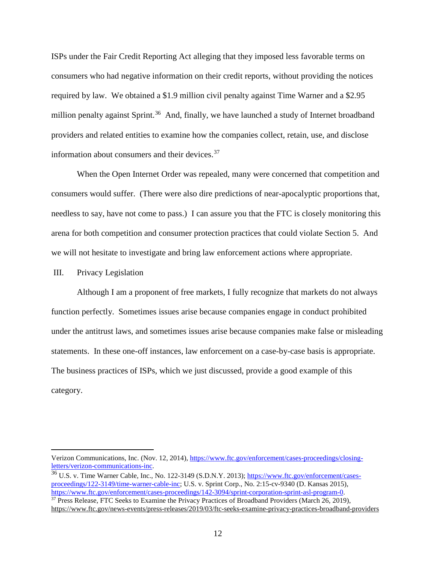ISPs under the Fair Credit Reporting Act alleging that they imposed less favorable terms on consumers who had negative information on their credit reports, without providing the notices required by law. We obtained a \$1.9 million civil penalty against Time Warner and a \$2.95 million penalty against Sprint.<sup>36</sup> And, finally, we have launched a study of Internet broadband providers and related entities to examine how the companies collect, retain, use, and disclose information about consumers and their devices.<sup>[37](#page-11-1)</sup>

When the Open Internet Order was repealed, many were concerned that competition and consumers would suffer. (There were also dire predictions of near-apocalyptic proportions that, needless to say, have not come to pass.) I can assure you that the FTC is closely monitoring this arena for both competition and consumer protection practices that could violate Section 5. And we will not hesitate to investigate and bring law enforcement actions where appropriate.

#### III. Privacy Legislation

 $\overline{a}$ 

Although I am a proponent of free markets, I fully recognize that markets do not always function perfectly. Sometimes issues arise because companies engage in conduct prohibited under the antitrust laws, and sometimes issues arise because companies make false or misleading statements. In these one-off instances, law enforcement on a case-by-case basis is appropriate. The business practices of ISPs, which we just discussed, provide a good example of this category.

Verizon Communications, Inc. (Nov. 12, 2014), [https://www.ftc.gov/enforcement/cases-proceedings/closing](https://www.ftc.gov/enforcement/cases-proceedings/closing-letters/verizon-communications-inc)[letters/verizon-communications-inc.](https://www.ftc.gov/enforcement/cases-proceedings/closing-letters/verizon-communications-inc)

<span id="page-11-1"></span><span id="page-11-0"></span><sup>&</sup>lt;sup>36</sup> U.S. v. Time Warner Cable, Inc., No. 122-3149 (S.D.N.Y. 2013); [https://www.ftc.gov/enforcement/cases](https://www.ftc.gov/enforcement/cases-proceedings/122-3149/time-warner-cable-inc)[proceedings/122-3149/time-warner-cable-inc;](https://www.ftc.gov/enforcement/cases-proceedings/122-3149/time-warner-cable-inc) U.S. v. Sprint Corp., No. 2:15-cv-9340 (D. Kansas 2015), [https://www.ftc.gov/enforcement/cases-proceedings/142-3094/sprint-corporation-sprint-asl-program-0.](https://www.ftc.gov/enforcement/cases-proceedings/142-3094/sprint-corporation-sprint-asl-program-0) <sup>37</sup> Press Release, FTC Seeks to Examine the Privacy Practices of Broadband Providers (March 26, 2019), <https://www.ftc.gov/news-events/press-releases/2019/03/ftc-seeks-examine-privacy-practices-broadband-providers>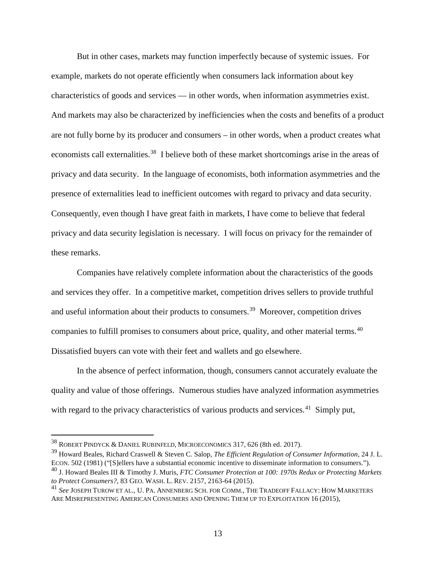But in other cases, markets may function imperfectly because of systemic issues. For example, markets do not operate efficiently when consumers lack information about key characteristics of goods and services — in other words, when information asymmetries exist. And markets may also be characterized by inefficiencies when the costs and benefits of a product are not fully borne by its producer and consumers – in other words, when a product creates what economists call externalities.<sup>38</sup> I believe both of these market shortcomings arise in the areas of privacy and data security. In the language of economists, both information asymmetries and the presence of externalities lead to inefficient outcomes with regard to privacy and data security. Consequently, even though I have great faith in markets, I have come to believe that federal privacy and data security legislation is necessary. I will focus on privacy for the remainder of these remarks.

Companies have relatively complete information about the characteristics of the goods and services they offer. In a competitive market, competition drives sellers to provide truthful and useful information about their products to consumers.<sup>39</sup> Moreover, competition drives companies to fulfill promises to consumers about price, quality, and other material terms.<sup>40</sup> Dissatisfied buyers can vote with their feet and wallets and go elsewhere.

In the absence of perfect information, though, consumers cannot accurately evaluate the quality and value of those offerings. Numerous studies have analyzed information asymmetries with regard to the privacy characteristics of various products and services.<sup>41</sup> Simply put,

<span id="page-12-0"></span> <sup>38</sup> ROBERT PINDYCK & DANIEL RUBINFELD, MICROECONOMICS 317, <sup>626</sup> (8th ed. 2017).

<span id="page-12-1"></span><sup>39</sup> Howard Beales, Richard Craswell & Steven C. Salop, *The Efficient Regulation of Consumer Information*, 24 J. L. ECON. 502 (1981) ("[S]ellers have a substantial economic incentive to disseminate information to consumers.").

<span id="page-12-2"></span><sup>40</sup> J. Howard Beales III & Timothy J. Muris, *FTC Consumer Protection at 100: 1970s Redux or Protecting Markets to Protect Consumers?*, 83 GEO. WASH. L. REV. 2157, 2163-64 (2015).

<span id="page-12-3"></span><sup>41</sup> *See* JOSEPH TUROW ET AL., U. PA. ANNENBERG SCH. FOR COMM., THE TRADEOFF FALLACY: HOW MARKETERS ARE MISREPRESENTING AMERICAN CONSUMERS AND OPENING THEM UP TO EXPLOITATION 16 (2015),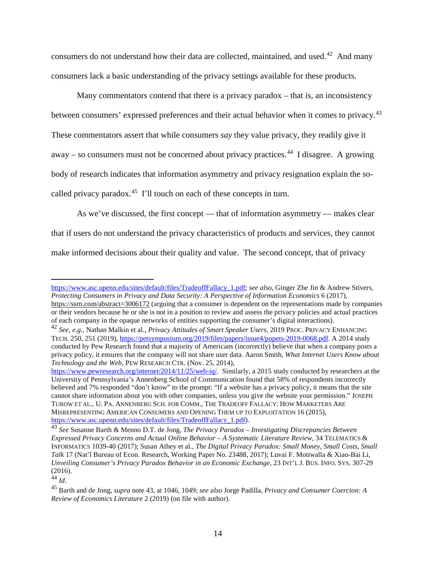consumers do not understand how their data are collected, maintained, and used.<sup>[42](#page-13-0)</sup> And many consumers lack a basic understanding of the privacy settings available for these products.

Many commentators contend that there is a privacy paradox – that is, an inconsistency between consumers' expressed preferences and their actual behavior when it comes to privacy.<sup>[43](#page-13-1)</sup> These commentators assert that while consumers *say* they value privacy, they readily give it away – so consumers must not be concerned about privacy practices.<sup>[44](#page-13-2)</sup> I disagree. A growing body of research indicates that information asymmetry and privacy resignation explain the socalled privacy paradox.<sup>45</sup> I'll touch on each of these concepts in turn.

As we've discussed, the first concept — that of information asymmetry — makes clear that if users do not understand the privacy characteristics of products and services, they cannot make informed decisions about their quality and value. The second concept, that of privacy

 $\overline{a}$ 

[https://www.asc.upenn.edu/sites/default/files/TradeoffFallacy\\_1.pdf;](https://www.asc.upenn.edu/sites/default/files/TradeoffFallacy_1.pdf) *see also*, Ginger Zhe Jin & Andrew Stivers, *Protecting Consumers in Privacy and Data Security: A Perspective of Information Economics* 6 (2017), <https://ssrn.com/abstract=3006172> (arguing that a consumer is dependent on the representations made by companies or their vendors because he or she is not in a position to review and assess the privacy policies and actual practices of each company in the opaque networks of entities supporting the consumer's digital interactions).

<span id="page-13-0"></span><sup>42</sup> *See, e.g.,* Nathan Malkin et al., *Privacy Attitudes of Smart Speaker Users*, 2019 PROC. PRIVACY ENHANCING TECH. 250, 251 (2019), [https://petsymposium.org/2019/files/papers/issue4/popets-2019-0068.pdf.](https://petsymposium.org/2019/files/papers/issue4/popets-2019-0068.pdf) A 2014 study conducted by Pew Research found that a majority of Americans (incorrectly) believe that when a company posts a privacy policy, it ensures that the company will not share user data. Aaron Smith, *What Internet Users Know about Technology and the Web*, PEW RESEARCH CTR. (Nov. 25, 2014),

[https://www.pewresearch.org/internet/2014/11/25/web-iq/.](https://www.pewresearch.org/internet/2014/11/25/web-iq/) Similarly, a 2015 study conducted by researchers at the University of Pennsylvania's Annenberg School of Communication found that 58% of respondents incorrectly believed and 7% responded "don't know" to the prompt: "If a website has a privacy policy, it means that the site cannot share information about you with other companies, unless you give the website your permission." JOSEPH TUROW ET AL., U. PA. ANNENBERG SCH. FOR COMM., THE TRADEOFF FALLACY: HOW MARKETERS ARE MISREPRESENTING AMERICAN CONSUMERS AND OPENING THEM UP TO EXPLOITATION 16 (2015), [https://www.asc.upenn.edu/sites/default/files/TradeoffFallacy\\_1.pdf\)](https://www.asc.upenn.edu/sites/default/files/TradeoffFallacy_1.pdf).

<span id="page-13-1"></span><sup>43</sup> *See* Susanne Barth & Menno D.T. de Jong, *The Privacy Paradox – Investigating Discrepancies Between Expressed Privacy Concerns and Actual Online Behavior – A Systematic Literature Review*, 34 TELEMATICS & INFORMATICS 1039-40 (2017); Susan Athey et al., *The Digital Privacy Paradox: Small Money, Small Costs, Small Talk* 17 (Nat'l Bureau of Econ. Research, Working Paper No. 23488, 2017); Luvai F. Motiwalla & Xiao-Bai Li, *Unveiling Consumer's Privacy Paradox Behavior in an Economic Exchange*, 23 INT'L J. BUS. INFO. SYS. 307-29 (2016).

<span id="page-13-2"></span> $^{44}$  *Id.* 

<span id="page-13-3"></span><sup>45</sup> Barth and de Jong, *supra* note 43, at 1046, 1049; *see also* Jorge Padilla, *Privacy and Consumer Coercion: A Review of Economics Literature* 2 (2019) (on file with author).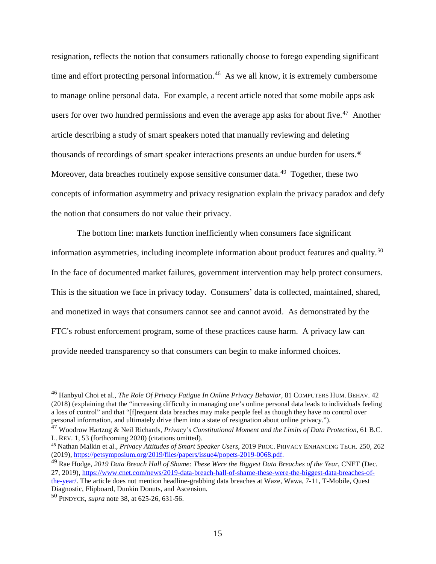resignation, reflects the notion that consumers rationally choose to forego expending significant time and effort protecting personal information.<sup>46</sup> As we all know, it is extremely cumbersome to manage online personal data. For example, a recent article noted that some mobile apps ask users for over two hundred permissions and even the average app asks for about five.<sup>[47](#page-14-1)</sup> Another article describing a study of smart speakers noted that manually reviewing and deleting thousands of recordings of smart speaker interactions presents an undue burden for users.<sup>48</sup> Moreover, data breaches routinely expose sensitive consumer data.<sup>[49](#page-14-3)</sup> Together, these two concepts of information asymmetry and privacy resignation explain the privacy paradox and defy the notion that consumers do not value their privacy.

The bottom line: markets function inefficiently when consumers face significant information asymmetries, including incomplete information about product features and quality. [50](#page-14-4) In the face of documented market failures, government intervention may help protect consumers. This is the situation we face in privacy today. Consumers' data is collected, maintained, shared, and monetized in ways that consumers cannot see and cannot avoid. As demonstrated by the FTC's robust enforcement program, some of these practices cause harm. A privacy law can provide needed transparency so that consumers can begin to make informed choices.

<span id="page-14-0"></span> <sup>46</sup> Hanbyul Choi et al., *The Role Of Privacy Fatigue In Online Privacy Behavior*, <sup>81</sup> COMPUTERS HUM. BEHAV. <sup>42</sup> (2018) (explaining that the "increasing difficulty in managing one's online personal data leads to individuals feeling a loss of control" and that "[f]requent data breaches may make people feel as though they have no control over personal information, and ultimately drive them into a state of resignation about online privacy.").

<span id="page-14-1"></span><sup>47</sup> Woodrow Hartzog & Neil Richards, *Privacy's Constitutional Moment and the Limits of Data Protection*, 61 B.C. L. REV. 1, 53 (forthcoming 2020) (citations omitted).

<span id="page-14-2"></span><sup>48</sup> Nathan Malkin et al., *Privacy Attitudes of Smart Speaker Users*, 2019 PROC. PRIVACY ENHANCING TECH. 250, 262 (2019), [https://petsymposium.org/2019/files/papers/issue4/popets-2019-0068.pdf.](https://petsymposium.org/2019/files/papers/issue4/popets-2019-0068.pdf)

<span id="page-14-3"></span><sup>49</sup> Rae Hodge, *2019 Data Breach Hall of Shame: These Were the Biggest Data Breaches of the Year*, CNET (Dec. 27, 2019), [https://www.cnet.com/news/2019-data-breach-hall-of-shame-these-were-the-biggest-data-breaches-of-](https://www.cnet.com/news/2019-data-breach-hall-of-shame-these-were-the-biggest-data-breaches-of-the-year/)

[the-year/.](https://www.cnet.com/news/2019-data-breach-hall-of-shame-these-were-the-biggest-data-breaches-of-the-year/) The article does not mention headline-grabbing data breaches at Waze, Wawa, 7-11, T-Mobile, Quest Diagnostic, Flipboard, Dunkin Donuts, and Ascension. 50 PINDYCK, *supra* note 38, at 625-26, 631-56.

<span id="page-14-4"></span>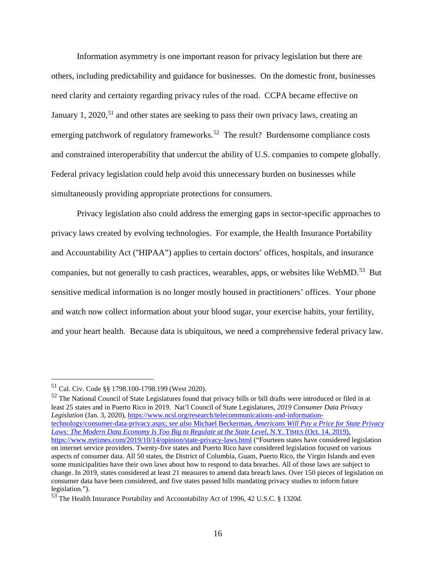Information asymmetry is one important reason for privacy legislation but there are others, including predictability and guidance for businesses. On the domestic front, businesses need clarity and certainty regarding privacy rules of the road. CCPA became effective on January 1, 2020,<sup>[51](#page-15-0)</sup> and other states are seeking to pass their own privacy laws, creating an emerging patchwork of regulatory frameworks.<sup>[52](#page-15-1)</sup> The result? Burdensome compliance costs and constrained interoperability that undercut the ability of U.S. companies to compete globally. Federal privacy legislation could help avoid this unnecessary burden on businesses while simultaneously providing appropriate protections for consumers.

Privacy legislation also could address the emerging gaps in sector-specific approaches to privacy laws created by evolving technologies. For example, the Health Insurance Portability and Accountability Act ("HIPAA") applies to certain doctors' offices, hospitals, and insurance companies, but not generally to cash practices, wearables, apps, or websites like WebMD.<sup>53</sup> But sensitive medical information is no longer mostly housed in practitioners' offices. Your phone and watch now collect information about your blood sugar, your exercise habits, your fertility, and your heart health. Because data is ubiquitous, we need a comprehensive federal privacy law.

<span id="page-15-1"></span><sup>52</sup> The National Council of State Legislatures found that privacy bills or bill drafts were introduced or filed in at least 25 states and in Puerto Rico in 2019. Nat'l Council of State Legislatures, *2019 Consumer Data Privacy Legislation* (Jan. 3, 2020), [https://www.ncsl.org/research/telecommunications-and-information](https://www.ncsl.org/research/telecommunications-and-information-technology/consumer-data-privacy.aspx)[technology/consumer-data-privacy.aspx;](https://www.ncsl.org/research/telecommunications-and-information-technology/consumer-data-privacy.aspx) *see also* Michael Beckerman, *Americans Will Pay a Price for State Privacy Laws: The Modern Data Economy Is Too Big to Regulate at the State Level*, N.Y. TIMES (Oct. 14, 2019), <https://www.nytimes.com/2019/10/14/opinion/state-privacy-laws.html> ("Fourteen states have considered legislation on internet service providers. Twenty-five states and Puerto Rico have considered legislation focused on various aspects of consumer data. All 50 states, the District of Columbia, Guam, Puerto Rico, the Virgin Islands and even some municipalities have their own laws about how to respond to data breaches. All of those laws are subject to change. In 2019, states considered at least 21 measures to amend data breach laws. Over 150 pieces of legislation on consumer data have been considered, and five states passed bills mandating privacy studies to inform future legislation.").

<span id="page-15-0"></span> <sup>51</sup> Cal. Civ. Code §§ 1798.100-1798.199 (West 2020).

<sup>53</sup> The Health Insurance Portability and Accountability Act of 1996, 42 U.S.C. § 1320d.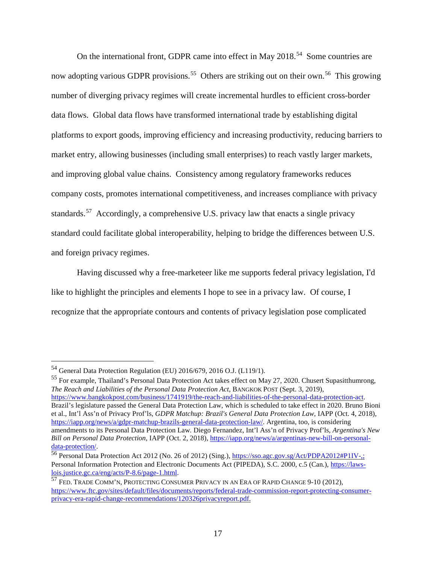On the international front, GDPR came into effect in May 2018.<sup>54</sup> Some countries are now adopting various GDPR provisions.<sup>55</sup> Others are striking out on their own.<sup>56</sup> This growing number of diverging privacy regimes will create incremental hurdles to efficient cross-border data flows. Global data flows have transformed international trade by establishing digital platforms to export goods, improving efficiency and increasing productivity, reducing barriers to market entry, allowing businesses (including small enterprises) to reach vastly larger markets, and improving global value chains. Consistency among regulatory frameworks reduces company costs, promotes international competitiveness, and increases compliance with privacy standards.<sup>[57](#page-16-3)</sup> Accordingly, a comprehensive U.S. privacy law that enacts a single privacy standard could facilitate global interoperability, helping to bridge the differences between U.S. and foreign privacy regimes.

Having discussed why a free-marketeer like me supports federal privacy legislation, I'd like to highlight the principles and elements I hope to see in a privacy law. Of course, I recognize that the appropriate contours and contents of privacy legislation pose complicated

<span id="page-16-1"></span><sup>55</sup> For example, Thailand's Personal Data Protection Act takes effect on May 27, 2020. Chusert Supasitthumrong, *The Reach and Liabilities of the Personal Data Protection Act*, BANGKOK POST (Sept. 3, 2019), [https://www.bangkokpost.com/business/1741919/the-reach-and-liabilities-of-the-personal-data-protection-act.](https://www.bangkokpost.com/business/1741919/the-reach-and-liabilities-of-the-personal-data-protection-act) Brazil's legislature passed the General Data Protection Law, which is scheduled to take effect in 2020. Bruno Bioni et al., Int'l Ass'n of Privacy Prof'ls, *GDPR Matchup: Brazil's General Data Protection Law*, IAPP (Oct. 4, 2018), [https://iapp.org/news/a/gdpr-matchup-brazils-general-data-protection-law/.](https://iapp.org/news/a/gdpr-matchup-brazils-general-data-protection-law/) Argentina, too, is considering amendments to its Personal Data Protection Law. Diego Fernandez, Int'l Ass'n of Privacy Prof'ls, *Argentina's New Bill on Personal Data Protection*, IAPP (Oct. 2, 2018), [https://iapp.org/news/a/argentinas-new-bill-on-personal](https://iapp.org/news/a/argentinas-new-bill-on-personal-data-protection/)[data-protection/.](https://iapp.org/news/a/argentinas-new-bill-on-personal-data-protection/)

<span id="page-16-0"></span> <sup>54</sup> General Data Protection Regulation (EU) 2016/679, <sup>2016</sup> O.J. (L119/1).

<span id="page-16-2"></span><sup>56</sup> Personal Data Protection Act 2012 (No. 26 of 2012) (Sing.), [https://sso.agc.gov.sg/Act/PDPA2012#P1IV-,;](https://sso.agc.gov.sg/Act/PDPA2012#P1IV-,) Personal Information Protection and Electronic Documents Act (PIPEDA), S.C. 2000, c.5 (Can.), [https://laws](https://laws-lois.justice.gc.ca/eng/acts/P-8.6/page-1.html)[lois.justice.gc.ca/eng/acts/P-8.6/page-1.html.](https://laws-lois.justice.gc.ca/eng/acts/P-8.6/page-1.html)

<span id="page-16-3"></span><sup>57</sup> FED. TRADE COMM'N, PROTECTING CONSUMER PRIVACY IN AN ERA OF RAPID CHANGE 9-10 (2012), [https://www.ftc.gov/sites/default/files/documents/reports/federal-trade-commission-report-protecting-consumer](https://www.ftc.gov/sites/default/files/documents/reports/federal-trade-commission-report-protecting-consumer-privacy-era-rapid-change-recommendations/120326privacyreport.pdf)[privacy-era-rapid-change-recommendations/120326privacyreport.pdf.](https://www.ftc.gov/sites/default/files/documents/reports/federal-trade-commission-report-protecting-consumer-privacy-era-rapid-change-recommendations/120326privacyreport.pdf)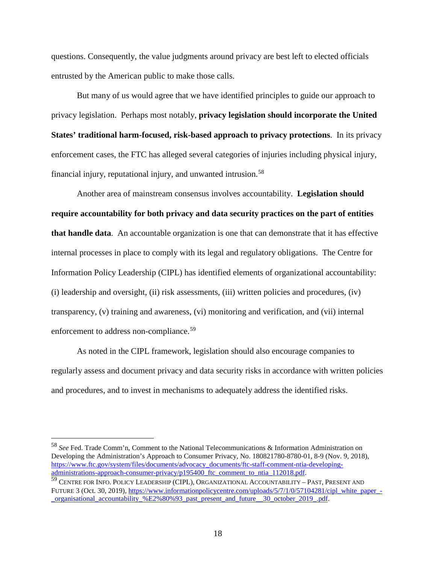questions. Consequently, the value judgments around privacy are best left to elected officials entrusted by the American public to make those calls.

But many of us would agree that we have identified principles to guide our approach to privacy legislation. Perhaps most notably, **privacy legislation should incorporate the United States' traditional harm-focused, risk-based approach to privacy protections**. In its privacy enforcement cases, the FTC has alleged several categories of injuries including physical injury, financial injury, reputational injury, and unwanted intrusion.[58](#page-17-0) 

Another area of mainstream consensus involves accountability. **Legislation should require accountability for both privacy and data security practices on the part of entities that handle data**. An accountable organization is one that can demonstrate that it has effective internal processes in place to comply with its legal and regulatory obligations. The Centre for Information Policy Leadership (CIPL) has identified elements of organizational accountability: (i) leadership and oversight, (ii) risk assessments, (iii) written policies and procedures, (iv) transparency, (v) training and awareness, (vi) monitoring and verification, and (vii) internal enforcement to address non-compliance.<sup>[59](#page-17-1)</sup>

As noted in the CIPL framework, legislation should also encourage companies to regularly assess and document privacy and data security risks in accordance with written policies and procedures, and to invest in mechanisms to adequately address the identified risks.

<span id="page-17-0"></span> <sup>58</sup> *See* Fed. Trade Comm'n, Comment to the National Telecommunications & Information Administration on Developing the Administration's Approach to Consumer Privacy, No. 180821780-8780-01, 8-9 (Nov. 9, 2018), [https://www.ftc.gov/system/files/documents/advocacy\\_documents/ftc-staff-comment-ntia-developing](https://www.ftc.gov/system/files/documents/advocacy_documents/ftc-staff-comment-ntia-developing-administrations-approach-consumer-privacy/p195400_ftc_comment_to_ntia_112018.pdf)administrations-approach-consumer-privacy/p195400 ftc\_comment\_to\_ntia\_112018.pdf.

<span id="page-17-1"></span><sup>59</sup> CENTRE FOR INFO. POLICY LEADERSHIP (CIPL), ORGANIZATIONAL ACCOUNTABILITY – PAST, PRESENT AND FUTURE 3 (Oct. 30, 2019), [https://www.informationpolicycentre.com/uploads/5/7/1/0/57104281/cipl\\_white\\_paper\\_](https://www.informationpolicycentre.com/uploads/5/7/1/0/57104281/cipl_white_paper_-_organisational_accountability_%25E2%2580%2593_past_present_and_future__30_october_2019_.pdf) organisational\_accountability\_%E2%80%93\_past\_present\_and\_future\_\_30\_october\_2019\_.pdf.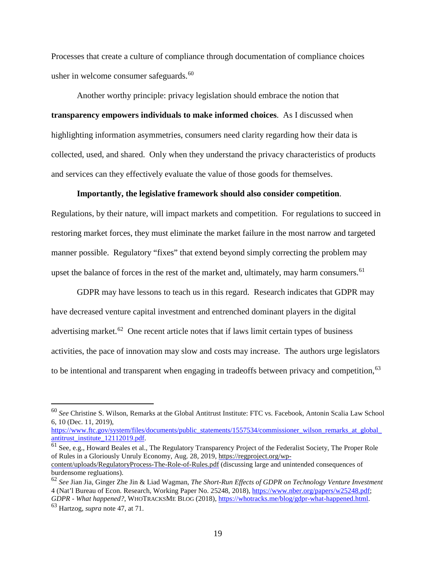Processes that create a culture of compliance through documentation of compliance choices usher in welcome consumer safeguards.<sup>[60](#page-18-0)</sup>

Another worthy principle: privacy legislation should embrace the notion that **transparency empowers individuals to make informed choices**. As I discussed when highlighting information asymmetries, consumers need clarity regarding how their data is collected, used, and shared. Only when they understand the privacy characteristics of products and services can they effectively evaluate the value of those goods for themselves.

#### **Importantly, the legislative framework should also consider competition**.

Regulations, by their nature, will impact markets and competition. For regulations to succeed in restoring market forces, they must eliminate the market failure in the most narrow and targeted manner possible. Regulatory "fixes" that extend beyond simply correcting the problem may upset the balance of forces in the rest of the market and, ultimately, may harm consumers.<sup>[61](#page-18-1)</sup>

GDPR may have lessons to teach us in this regard. Research indicates that GDPR may have decreased venture capital investment and entrenched dominant players in the digital advertising market.<sup>[62](#page-18-2)</sup> One recent article notes that if laws limit certain types of business activities, the pace of innovation may slow and costs may increase. The authors urge legislators to be intentional and transparent when engaging in tradeoffs between privacy and competition, <sup>[63](#page-18-3)</sup>

[https://www.ftc.gov/system/files/documents/public\\_statements/1557534/commissioner\\_wilson\\_remarks\\_at\\_global\\_](https://www.ftc.gov/system/files/documents/public_statements/1557534/commissioner_wilson_remarks_at_global_antitrust_institute_12112019.pdf) [antitrust\\_institute\\_12112019.pdf.](https://www.ftc.gov/system/files/documents/public_statements/1557534/commissioner_wilson_remarks_at_global_antitrust_institute_12112019.pdf)

<span id="page-18-1"></span><sup>61</sup> See, e.g., Howard Beales et al., The Regulatory Transparency Project of the Federalist Society, The Proper Role of Rules in a Gloriously Unruly Economy, Aug. 28, 2019, [https://regproject.org/wp](https://regproject.org/wp-content/uploads/RegulatoryProcess-The-Role-of-Rules.pdf)[content/uploads/RegulatoryProcess-The-Role-of-Rules.pdf](https://regproject.org/wp-content/uploads/RegulatoryProcess-The-Role-of-Rules.pdf) (discussing large and unintended consequences of burdensome regluations).

<span id="page-18-0"></span> <sup>60</sup> *See* Christine S. Wilson, Remarks at the Global Antitrust Institute: FTC vs. Facebook, Antonin Scalia Law School 6, 10 (Dec. 11, 2019),

<span id="page-18-3"></span><span id="page-18-2"></span><sup>62</sup> *See* Jian Jia, Ginger Zhe Jin & Liad Wagman, *The Short-Run Effects of GDPR on Technology Venture Investment* 4 (Nat'l Bureau of Econ. Research, Working Paper No. 25248, 2018), [https://www.nber.org/papers/w25248.pdf;](https://www.nber.org/papers/w25248.pdf) *GDPR - What happened?*, WHOTRACKSME BLOG (2018), [https://whotracks.me/blog/gdpr-what-happened.html.](https://whotracks.me/blog/gdpr-what-happened.html) <sup>63</sup> Hartzog, *supra* note 47, at 71.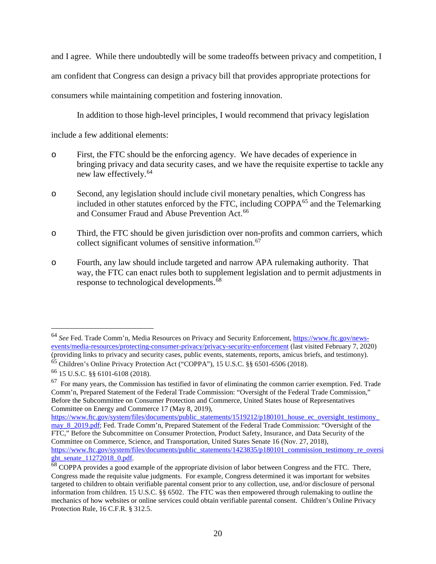and I agree. While there undoubtedly will be some tradeoffs between privacy and competition, I am confident that Congress can design a privacy bill that provides appropriate protections for consumers while maintaining competition and fostering innovation.

In addition to those high-level principles, I would recommend that privacy legislation

include a few additional elements:

- o First, the FTC should be the enforcing agency. We have decades of experience in bringing privacy and data security cases, and we have the requisite expertise to tackle any new law effectively.[64](#page-19-0)
- o Second, any legislation should include civil monetary penalties, which Congress has included in other statutes enforced by the FTC, including COPPA[65](#page-19-1) and the Telemarking and Consumer Fraud and Abuse Prevention Act.<sup>[66](#page-19-2)</sup>
- o Third, the FTC should be given jurisdiction over non-profits and common carriers, which collect significant volumes of sensitive information.<sup>[67](#page-19-3)</sup>
- o Fourth, any law should include targeted and narrow APA rulemaking authority. That way, the FTC can enact rules both to supplement legislation and to permit adjustments in response to technological developments.<sup>[68](#page-19-4)</sup>

<span id="page-19-0"></span> <sup>64</sup> *See* Fed. Trade Comm'n, Media Resources on Privacy and Security Enforcement, [https://www.ftc.gov/news](https://www.ftc.gov/news-events/media-resources/protecting-consumer-privacy/privacy-security-enforcement)[events/media-resources/protecting-consumer-privacy/privacy-security-enforcement](https://www.ftc.gov/news-events/media-resources/protecting-consumer-privacy/privacy-security-enforcement) (last visited February 7, 2020) (providing links to privacy and security cases, public events, statements, reports, amicus briefs, and testimony). <sup>65</sup> Children's Online Privacy Protection Act ("COPPA"), 15 U.S.C. §§ 6501-6506 (2018).

<span id="page-19-2"></span><span id="page-19-1"></span><sup>66</sup> 15 U.S.C. §§ 6101-6108 (2018).

<span id="page-19-3"></span> $67$  For many years, the Commission has testified in favor of eliminating the common carrier exemption. Fed. Trade Comm'n, Prepared Statement of the Federal Trade Commission: "Oversight of the Federal Trade Commission," Before the Subcommittee on Consumer Protection and Commerce, United States house of Representatives Committee on Energy and Commerce 17 (May 8, 2019),

https://www.ftc.gov/system/files/documents/public\_statements/1519212/p180101\_house\_ec\_oversight\_testimony [may\\_8\\_2019.pdf;](https://www.ftc.gov/system/files/documents/public_statements/1519212/p180101_house_ec_oversight_testimony_may_8_2019.pdf) Fed. Trade Comm'n, Prepared Statement of the Federal Trade Commission: "Oversight of the FTC," Before the Subcommittee on Consumer Protection, Product Safety, Insurance, and Data Security of the Committee on Commerce, Science, and Transportation, United States Senate 16 (Nov. 27, 2018), [https://www.ftc.gov/system/files/documents/public\\_statements/1423835/p180101\\_commission\\_testimony\\_re\\_oversi](https://www.ftc.gov/system/files/documents/public_statements/1423835/p180101_commission_testimony_re_oversight_senate_11272018_0.pdf)ght\_senate\_11272018\_0.pdf.

<span id="page-19-4"></span> $68$  COPPA provides a good example of the appropriate division of labor between Congress and the FTC. There, Congress made the requisite value judgments. For example, Congress determined it was important for websites targeted to children to obtain verifiable parental consent prior to any collection, use, and/or disclosure of personal information from children. 15 U.S.C. §§ 6502. The FTC was then empowered through rulemaking to outline the mechanics of how websites or online services could obtain verifiable parental consent. Children's Online Privacy Protection Rule, 16 C.F.R. § 312.5.